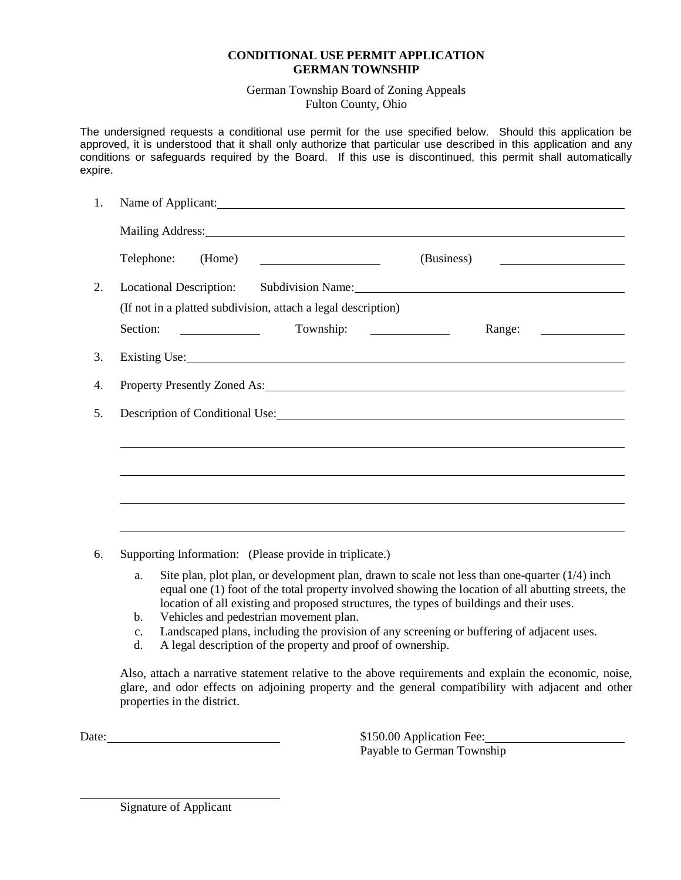## **CONDITIONAL USE PERMIT APPLICATION GERMAN TOWNSHIP**

German Township Board of Zoning Appeals Fulton County, Ohio

The undersigned requests a conditional use permit for the use specified below. Should this application be approved, it is understood that it shall only authorize that particular use described in this application and any conditions or safeguards required by the Board. If this use is discontinued, this permit shall automatically expire.

| 1. | Name of Applicant:                                                                                                                                                                                                             |  |            |                           |  |
|----|--------------------------------------------------------------------------------------------------------------------------------------------------------------------------------------------------------------------------------|--|------------|---------------------------|--|
|    | Mailing Address: National Address: National Address: National Address: National Address: National Address: National Address: National Address: National Address: National Address: National Address: National Address: Nationa |  |            |                           |  |
|    | (Home)<br>Telephone:                                                                                                                                                                                                           |  | (Business) | <u> Albanya (Albanya)</u> |  |
| 2. |                                                                                                                                                                                                                                |  |            |                           |  |
|    | (If not in a platted subdivision, attach a legal description)                                                                                                                                                                  |  |            |                           |  |
|    | Section:<br><u> 1990 - Jan James Barnett, politik e</u> ta industrial                                                                                                                                                          |  |            |                           |  |
| 3. | Existing Use: the contract of the contract of the contract of the contract of the contract of the contract of the contract of the contract of the contract of the contract of the contract of the contract of the contract of  |  |            |                           |  |
| 4. | Property Presently Zoned As: North Contract Contract Contract Contract Contract Contract Contract Contract Contract Contract Contract Contract Contract Contract Contract Contract Contract Contract Contract Contract Contrac |  |            |                           |  |
| 5. |                                                                                                                                                                                                                                |  |            |                           |  |
|    |                                                                                                                                                                                                                                |  |            |                           |  |
|    |                                                                                                                                                                                                                                |  |            |                           |  |
|    |                                                                                                                                                                                                                                |  |            |                           |  |
|    |                                                                                                                                                                                                                                |  |            |                           |  |
|    |                                                                                                                                                                                                                                |  |            |                           |  |
|    |                                                                                                                                                                                                                                |  |            |                           |  |

- 6. Supporting Information: (Please provide in triplicate.)
	- a. Site plan, plot plan, or development plan, drawn to scale not less than one-quarter (1/4) inch equal one (1) foot of the total property involved showing the location of all abutting streets, the location of all existing and proposed structures, the types of buildings and their uses.
	- b. Vehicles and pedestrian movement plan.
	- c. Landscaped plans, including the provision of any screening or buffering of adjacent uses.
	- d. A legal description of the property and proof of ownership.

Also, attach a narrative statement relative to the above requirements and explain the economic, noise, glare, and odor effects on adjoining property and the general compatibility with adjacent and other properties in the district.

Date:  $$150.00 \text{ Application}$  Fee:

Payable to German Township

Signature of Applicant